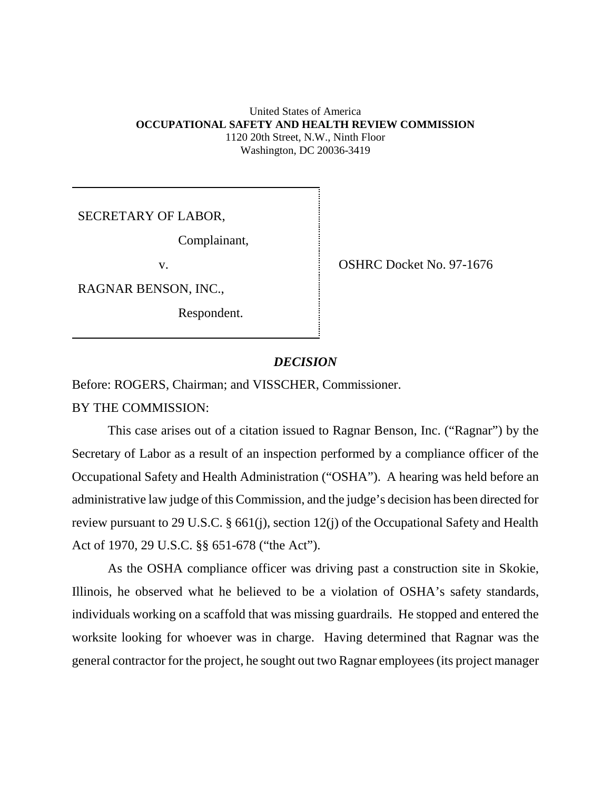### United States of America **OCCUPATIONAL SAFETY AND HEALTH REVIEW COMMISSION** 1120 20th Street, N.W., Ninth Floor Washington, DC 20036-3419

SECRETARY OF LABOR,

Complainant,

RAGNAR BENSON, INC.,

Respondent.

v. SHRC Docket No. 97-1676

# *DECISION*

Before: ROGERS, Chairman; and VISSCHER, Commissioner.

BY THE COMMISSION:

This case arises out of a citation issued to Ragnar Benson, Inc. ("Ragnar") by the Secretary of Labor as a result of an inspection performed by a compliance officer of the Occupational Safety and Health Administration ("OSHA"). A hearing was held before an administrative law judge of this Commission, and the judge's decision has been directed for review pursuant to 29 U.S.C. § 661(j), section 12(j) of the Occupational Safety and Health Act of 1970, 29 U.S.C. §§ 651-678 ("the Act").

As the OSHA compliance officer was driving past a construction site in Skokie, Illinois, he observed what he believed to be a violation of OSHA's safety standards, individuals working on a scaffold that was missing guardrails. He stopped and entered the worksite looking for whoever was in charge. Having determined that Ragnar was the general contractor for the project, he sought out two Ragnar employees (its project manager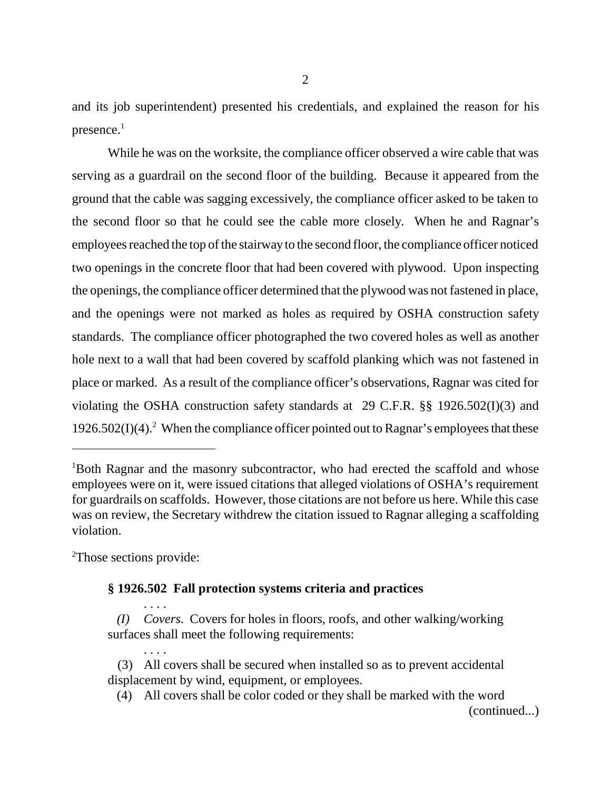and its job superintendent) presented his credentials, and explained the reason for his presence. $<sup>1</sup>$ </sup>

While he was on the worksite, the compliance officer observed a wire cable that was serving as a guardrail on the second floor of the building. Because it appeared from the ground that the cable was sagging excessively, the compliance officer asked to be taken to the second floor so that he could see the cable more closely. When he and Ragnar's employees reached the top of the stairway to the second floor, the compliance officer noticed two openings in the concrete floor that had been covered with plywood. Upon inspecting the openings, the compliance officer determined that the plywood was not fastened in place, and the openings were not marked as holes as required by OSHA construction safety standards. The compliance officer photographed the two covered holes as well as another hole next to a wall that had been covered by scaffold planking which was not fastened in place or marked. As a result of the compliance officer's observations, Ragnar was cited for violating the OSHA construction safety standards at 29 C.F.R. §§ 1926.502(I)(3) and  $1926.502(I)(4).<sup>2</sup>$  When the compliance officer pointed out to Ragnar's employees that these

<sup>2</sup>Those sections provide:

. . . .

. . . .

# **§ 1926.502 Fall protection systems criteria and practices**

 *(I) Covers*. Covers for holes in floors, roofs, and other walking/working surfaces shall meet the following requirements:

- (3) All covers shall be secured when installed so as to prevent accidental displacement by wind, equipment, or employees.
	- (4) All covers shall be color coded or they shall be marked with the word (continued...)

<sup>&</sup>lt;sup>1</sup>Both Ragnar and the masonry subcontractor, who had erected the scaffold and whose employees were on it, were issued citations that alleged violations of OSHA's requirement for guardrails on scaffolds. However, those citations are not before us here. While this case was on review, the Secretary withdrew the citation issued to Ragnar alleging a scaffolding violation.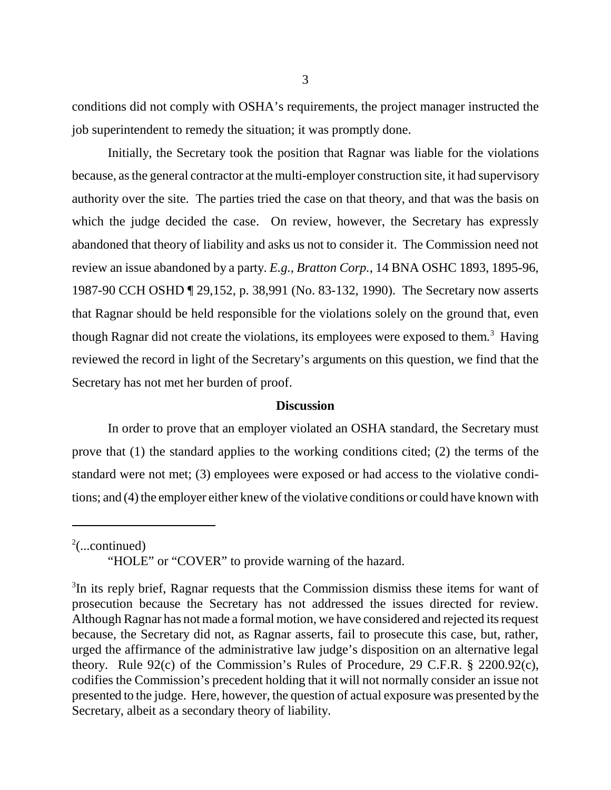conditions did not comply with OSHA's requirements, the project manager instructed the job superintendent to remedy the situation; it was promptly done.

Initially, the Secretary took the position that Ragnar was liable for the violations because, as the general contractor at the multi-employer construction site, it had supervisory authority over the site. The parties tried the case on that theory, and that was the basis on which the judge decided the case. On review, however, the Secretary has expressly abandoned that theory of liability and asks us not to consider it. The Commission need not review an issue abandoned by a party. *E.g.*, *Bratton Corp.*, 14 BNA OSHC 1893, 1895-96, 1987-90 CCH OSHD ¶ 29,152, p. 38,991 (No. 83-132, 1990). The Secretary now asserts that Ragnar should be held responsible for the violations solely on the ground that, even though Ragnar did not create the violations, its employees were exposed to them.<sup>3</sup> Having reviewed the record in light of the Secretary's arguments on this question, we find that the Secretary has not met her burden of proof.

### **Discussion**

In order to prove that an employer violated an OSHA standard, the Secretary must prove that (1) the standard applies to the working conditions cited; (2) the terms of the standard were not met; (3) employees were exposed or had access to the violative conditions; and (4) the employer either knew of the violative conditions or could have known with

 $2$ (...continued)

<sup>&</sup>quot;HOLE" or "COVER" to provide warning of the hazard.

<sup>&</sup>lt;sup>3</sup>In its reply brief, Ragnar requests that the Commission dismiss these items for want of prosecution because the Secretary has not addressed the issues directed for review. Although Ragnar has not made a formal motion, we have considered and rejected its request because, the Secretary did not, as Ragnar asserts, fail to prosecute this case, but, rather, urged the affirmance of the administrative law judge's disposition on an alternative legal theory. Rule 92(c) of the Commission's Rules of Procedure, 29 C.F.R. § 2200.92(c), codifies the Commission's precedent holding that it will not normally consider an issue not presented to the judge. Here, however, the question of actual exposure was presented by the Secretary, albeit as a secondary theory of liability.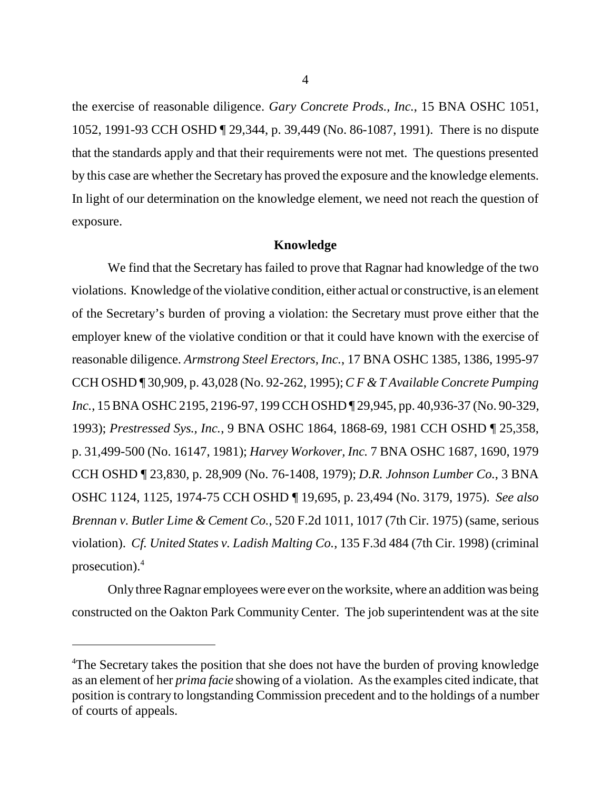the exercise of reasonable diligence. *Gary Concrete Prods., Inc.*, 15 BNA OSHC 1051, 1052, 1991-93 CCH OSHD ¶ 29,344, p. 39,449 (No. 86-1087, 1991). There is no dispute that the standards apply and that their requirements were not met. The questions presented by this case are whether the Secretary has proved the exposure and the knowledge elements. In light of our determination on the knowledge element, we need not reach the question of exposure.

### **Knowledge**

We find that the Secretary has failed to prove that Ragnar had knowledge of the two violations. Knowledge of the violative condition, either actual or constructive, is an element of the Secretary's burden of proving a violation: the Secretary must prove either that the employer knew of the violative condition or that it could have known with the exercise of reasonable diligence. *Armstrong Steel Erectors, Inc.*, 17 BNA OSHC 1385, 1386, 1995-97 CCH OSHD ¶ 30,909, p. 43,028 (No. 92-262, 1995); *C F & T Available Concrete Pumping Inc.*, 15 BNA OSHC 2195, 2196-97, 199 CCH OSHD ¶ 29,945, pp. 40,936-37 (No. 90-329, 1993); *Prestressed Sys., Inc.*, 9 BNA OSHC 1864, 1868-69, 1981 CCH OSHD ¶ 25,358, p. 31,499-500 (No. 16147, 1981); *Harvey Workover, Inc.* 7 BNA OSHC 1687, 1690, 1979 CCH OSHD ¶ 23,830, p. 28,909 (No. 76-1408, 1979); *D.R. Johnson Lumber Co.*, 3 BNA OSHC 1124, 1125, 1974-75 CCH OSHD ¶ 19,695, p. 23,494 (No. 3179, 1975). *See also Brennan v. Butler Lime & Cement Co.*, 520 F.2d 1011, 1017 (7th Cir. 1975) (same, serious violation). *Cf. United States v. Ladish Malting Co.*, 135 F.3d 484 (7th Cir. 1998) (criminal prosecution).4

Only three Ragnar employees were ever on the worksite, where an addition was being constructed on the Oakton Park Community Center. The job superintendent was at the site

<sup>&</sup>lt;sup>4</sup>The Secretary takes the position that she does not have the burden of proving knowledge as an element of her *prima facie* showing of a violation. As the examples cited indicate, that position is contrary to longstanding Commission precedent and to the holdings of a number of courts of appeals.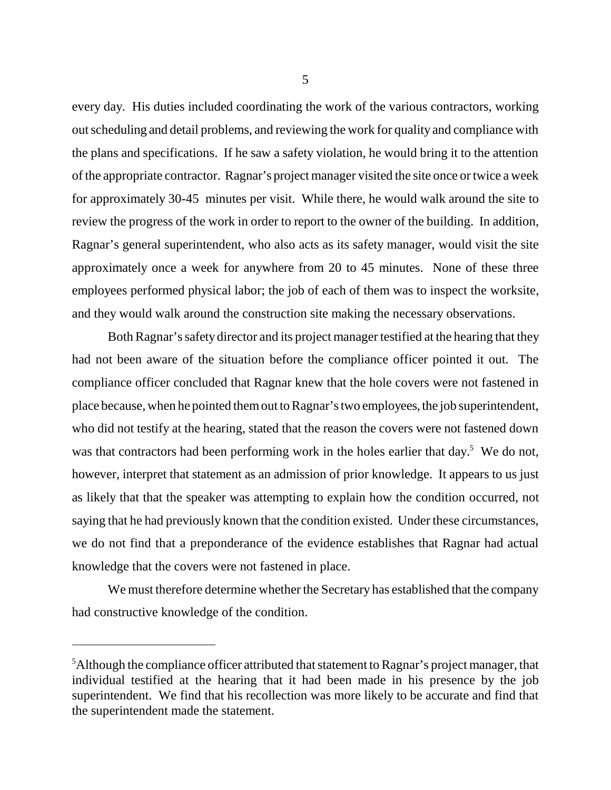every day. His duties included coordinating the work of the various contractors, working out scheduling and detail problems, and reviewing the work for quality and compliance with the plans and specifications. If he saw a safety violation, he would bring it to the attention of the appropriate contractor. Ragnar's project manager visited the site once or twice a week for approximately 30-45 minutes per visit. While there, he would walk around the site to review the progress of the work in order to report to the owner of the building. In addition, Ragnar's general superintendent, who also acts as its safety manager, would visit the site approximately once a week for anywhere from 20 to 45 minutes. None of these three employees performed physical labor; the job of each of them was to inspect the worksite, and they would walk around the construction site making the necessary observations.

Both Ragnar's safety director and its project manager testified at the hearing that they had not been aware of the situation before the compliance officer pointed it out. The compliance officer concluded that Ragnar knew that the hole covers were not fastened in place because, when he pointed them out to Ragnar's two employees, the job superintendent, who did not testify at the hearing, stated that the reason the covers were not fastened down was that contractors had been performing work in the holes earlier that day.<sup>5</sup> We do not, however, interpret that statement as an admission of prior knowledge. It appears to us just as likely that that the speaker was attempting to explain how the condition occurred, not saying that he had previously known that the condition existed. Under these circumstances, we do not find that a preponderance of the evidence establishes that Ragnar had actual knowledge that the covers were not fastened in place.

We must therefore determine whether the Secretary has established that the company had constructive knowledge of the condition.

 $<sup>5</sup>$ Although the compliance officer attributed that statement to Ragnar's project manager, that</sup> individual testified at the hearing that it had been made in his presence by the job superintendent. We find that his recollection was more likely to be accurate and find that the superintendent made the statement.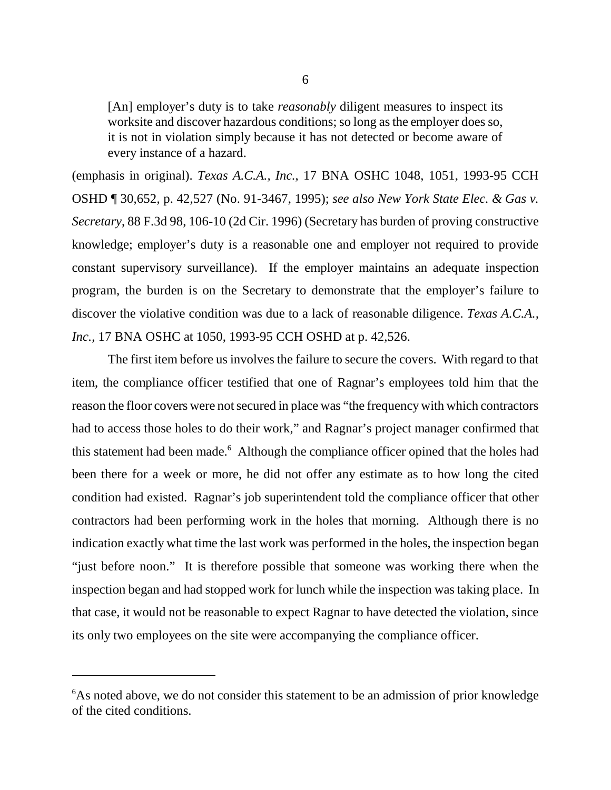[An] employer's duty is to take *reasonably* diligent measures to inspect its worksite and discover hazardous conditions; so long as the employer does so, it is not in violation simply because it has not detected or become aware of every instance of a hazard.

(emphasis in original). *Texas A.C.A., Inc.*, 17 BNA OSHC 1048, 1051, 1993-95 CCH OSHD ¶ 30,652, p. 42,527 (No. 91-3467, 1995); *see also New York State Elec. & Gas v. Secretary*, 88 F.3d 98, 106-10 (2d Cir. 1996) (Secretary has burden of proving constructive knowledge; employer's duty is a reasonable one and employer not required to provide constant supervisory surveillance). If the employer maintains an adequate inspection program, the burden is on the Secretary to demonstrate that the employer's failure to discover the violative condition was due to a lack of reasonable diligence. *Texas A.C.A., Inc.*, 17 BNA OSHC at 1050, 1993-95 CCH OSHD at p. 42,526.

The first item before us involves the failure to secure the covers. With regard to that item, the compliance officer testified that one of Ragnar's employees told him that the reason the floor covers were not secured in place was "the frequency with which contractors had to access those holes to do their work," and Ragnar's project manager confirmed that this statement had been made.<sup>6</sup> Although the compliance officer opined that the holes had been there for a week or more, he did not offer any estimate as to how long the cited condition had existed. Ragnar's job superintendent told the compliance officer that other contractors had been performing work in the holes that morning. Although there is no indication exactly what time the last work was performed in the holes, the inspection began "just before noon." It is therefore possible that someone was working there when the inspection began and had stopped work for lunch while the inspection was taking place. In that case, it would not be reasonable to expect Ragnar to have detected the violation, since its only two employees on the site were accompanying the compliance officer.

<sup>&</sup>lt;sup>6</sup>As noted above, we do not consider this statement to be an admission of prior knowledge of the cited conditions.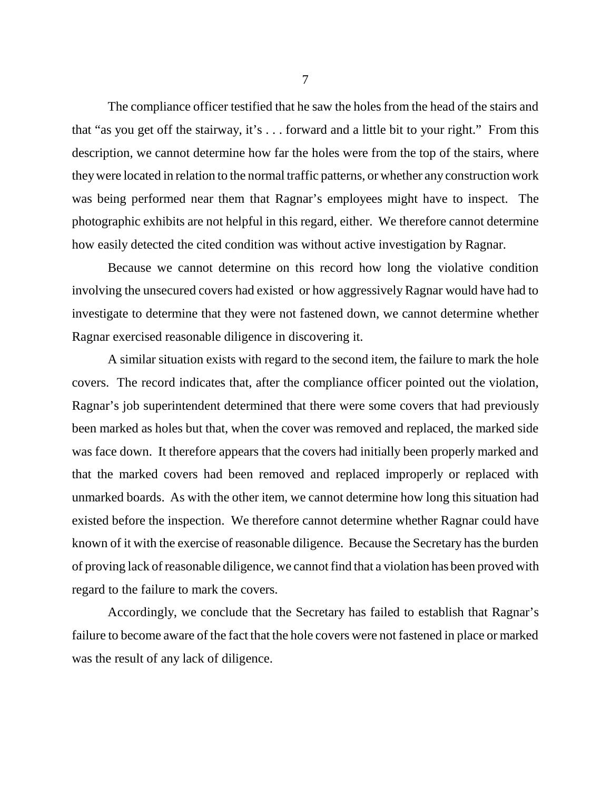The compliance officer testified that he saw the holes from the head of the stairs and that "as you get off the stairway, it's . . . forward and a little bit to your right." From this description, we cannot determine how far the holes were from the top of the stairs, where they were located in relation to the normal traffic patterns, or whether any construction work was being performed near them that Ragnar's employees might have to inspect. The photographic exhibits are not helpful in this regard, either. We therefore cannot determine how easily detected the cited condition was without active investigation by Ragnar.

Because we cannot determine on this record how long the violative condition involving the unsecured covers had existed or how aggressively Ragnar would have had to investigate to determine that they were not fastened down, we cannot determine whether Ragnar exercised reasonable diligence in discovering it.

A similar situation exists with regard to the second item, the failure to mark the hole covers. The record indicates that, after the compliance officer pointed out the violation, Ragnar's job superintendent determined that there were some covers that had previously been marked as holes but that, when the cover was removed and replaced, the marked side was face down. It therefore appears that the covers had initially been properly marked and that the marked covers had been removed and replaced improperly or replaced with unmarked boards. As with the other item, we cannot determine how long this situation had existed before the inspection. We therefore cannot determine whether Ragnar could have known of it with the exercise of reasonable diligence. Because the Secretary has the burden of proving lack of reasonable diligence, we cannot find that a violation has been proved with regard to the failure to mark the covers.

Accordingly, we conclude that the Secretary has failed to establish that Ragnar's failure to become aware of the fact that the hole covers were not fastened in place or marked was the result of any lack of diligence.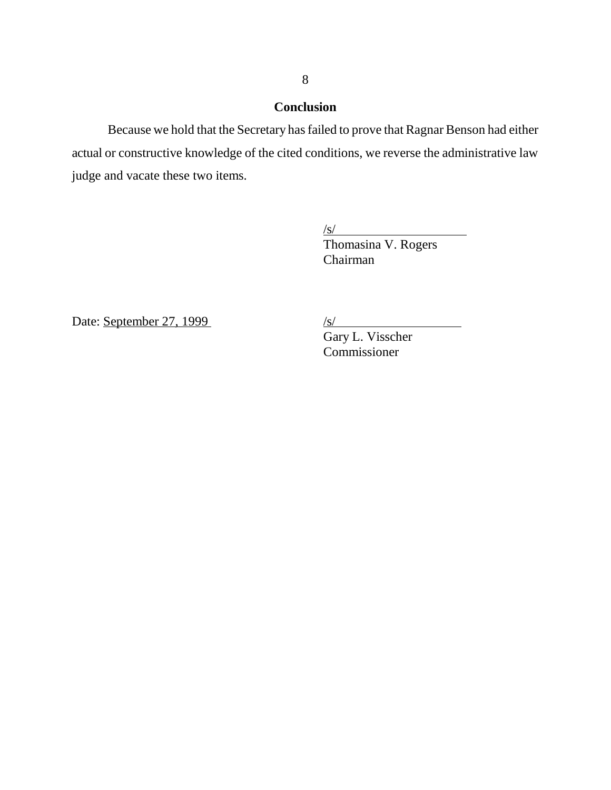# **Conclusion**

Because we hold that the Secretary has failed to prove that Ragnar Benson had either actual or constructive knowledge of the cited conditions, we reverse the administrative law judge and vacate these two items.

> $\sqrt{s/}$ Thomasina V. Rogers Chairman

Date: September 27, 1999 /s/

Gary L. Visscher Commissioner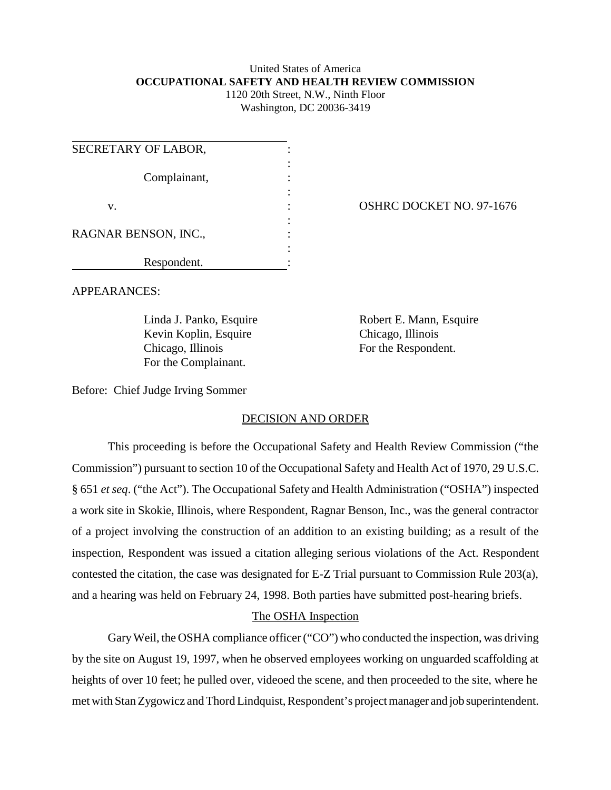#### United States of America **OCCUPATIONAL SAFETY AND HEALTH REVIEW COMMISSION** 1120 20th Street, N.W., Ninth Floor

Washington, DC 20036-3419

| SECRETARY OF LABOR,  |  |
|----------------------|--|
| Complainant,         |  |
| V.                   |  |
| RAGNAR BENSON, INC., |  |
| Respondent.          |  |

OSHRC DOCKET NO. 97-1676

APPEARANCES:

Kevin Koplin, Esquire Chicago, Illinois Chicago, Illinois For the Respondent. For the Complainant.

Linda J. Panko, Esquire Robert E. Mann, Esquire

Before: Chief Judge Irving Sommer

# DECISION AND ORDER

This proceeding is before the Occupational Safety and Health Review Commission ("the Commission") pursuant to section 10 of the Occupational Safety and Health Act of 1970, 29 U.S.C. § 651 *et seq*. ("the Act"). The Occupational Safety and Health Administration ("OSHA") inspected a work site in Skokie, Illinois, where Respondent, Ragnar Benson, Inc., was the general contractor of a project involving the construction of an addition to an existing building; as a result of the inspection, Respondent was issued a citation alleging serious violations of the Act. Respondent contested the citation, the case was designated for E-Z Trial pursuant to Commission Rule 203(a), and a hearing was held on February 24, 1998. Both parties have submitted post-hearing briefs.

# The OSHA Inspection

Gary Weil, the OSHA compliance officer ("CO") who conducted the inspection, was driving by the site on August 19, 1997, when he observed employees working on unguarded scaffolding at heights of over 10 feet; he pulled over, videoed the scene, and then proceeded to the site, where he met with Stan Zygowicz and Thord Lindquist, Respondent's project manager and job superintendent.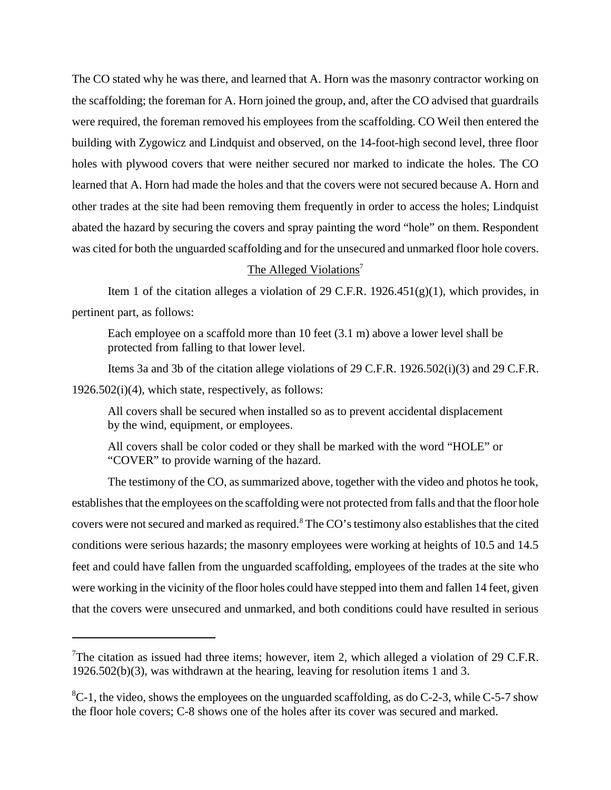The CO stated why he was there, and learned that A. Horn was the masonry contractor working on the scaffolding; the foreman for A. Horn joined the group, and, after the CO advised that guardrails were required, the foreman removed his employees from the scaffolding. CO Weil then entered the building with Zygowicz and Lindquist and observed, on the 14-foot-high second level, three floor holes with plywood covers that were neither secured nor marked to indicate the holes. The CO learned that A. Horn had made the holes and that the covers were not secured because A. Horn and other trades at the site had been removing them frequently in order to access the holes; Lindquist abated the hazard by securing the covers and spray painting the word "hole" on them. Respondent was cited for both the unguarded scaffolding and for the unsecured and unmarked floor hole covers.

### The Alleged Violations<sup>7</sup>

Item 1 of the citation alleges a violation of 29 C.F.R.  $1926.451(g)(1)$ , which provides, in pertinent part, as follows:

Each employee on a scaffold more than 10 feet (3.1 m) above a lower level shall be protected from falling to that lower level.

Items 3a and 3b of the citation allege violations of 29 C.F.R. 1926.502(i)(3) and 29 C.F.R.  $1926.502(i)(4)$ , which state, respectively, as follows:

All covers shall be secured when installed so as to prevent accidental displacement by the wind, equipment, or employees.

All covers shall be color coded or they shall be marked with the word "HOLE" or "COVER" to provide warning of the hazard.

The testimony of the CO, as summarized above, together with the video and photos he took, establishes that the employees on the scaffolding were not protected from falls and that the floor hole covers were not secured and marked as required. $8$  The CO's testimony also establishes that the cited conditions were serious hazards; the masonry employees were working at heights of 10.5 and 14.5 feet and could have fallen from the unguarded scaffolding, employees of the trades at the site who were working in the vicinity of the floor holes could have stepped into them and fallen 14 feet, given that the covers were unsecured and unmarked, and both conditions could have resulted in serious

<sup>&</sup>lt;sup>7</sup>The citation as issued had three items; however, item 2, which alleged a violation of 29 C.F.R. 1926.502(b)(3), was withdrawn at the hearing, leaving for resolution items 1 and 3.

 ${}^{8}C$ -1, the video, shows the employees on the unguarded scaffolding, as do C-2-3, while C-5-7 show the floor hole covers; C-8 shows one of the holes after its cover was secured and marked.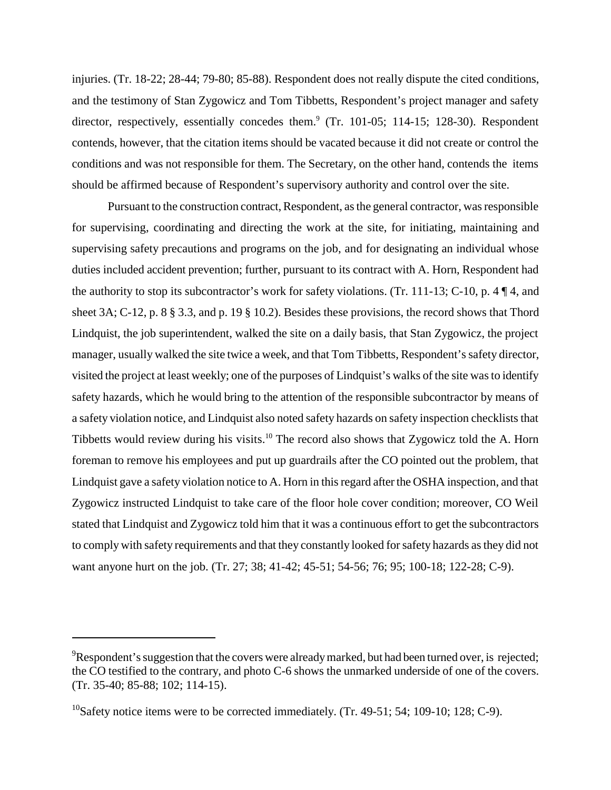injuries. (Tr. 18-22; 28-44; 79-80; 85-88). Respondent does not really dispute the cited conditions, and the testimony of Stan Zygowicz and Tom Tibbetts, Respondent's project manager and safety director, respectively, essentially concedes them.<sup>9</sup> (Tr. 101-05; 114-15; 128-30). Respondent contends, however, that the citation items should be vacated because it did not create or control the conditions and was not responsible for them. The Secretary, on the other hand, contends the items should be affirmed because of Respondent's supervisory authority and control over the site.

Pursuant to the construction contract, Respondent, as the general contractor, was responsible for supervising, coordinating and directing the work at the site, for initiating, maintaining and supervising safety precautions and programs on the job, and for designating an individual whose duties included accident prevention; further, pursuant to its contract with A. Horn, Respondent had the authority to stop its subcontractor's work for safety violations. (Tr. 111-13; C-10, p. 4  $\P$ 4, and sheet 3A; C-12, p. 8 § 3.3, and p. 19 § 10.2). Besides these provisions, the record shows that Thord Lindquist, the job superintendent, walked the site on a daily basis, that Stan Zygowicz, the project manager, usually walked the site twice a week, and that Tom Tibbetts, Respondent's safety director, visited the project at least weekly; one of the purposes of Lindquist's walks of the site was to identify safety hazards, which he would bring to the attention of the responsible subcontractor by means of a safety violation notice, and Lindquist also noted safety hazards on safety inspection checklists that Tibbetts would review during his visits.<sup>10</sup> The record also shows that Zygowicz told the A. Horn foreman to remove his employees and put up guardrails after the CO pointed out the problem, that Lindquist gave a safety violation notice to A. Horn in this regard after the OSHA inspection, and that Zygowicz instructed Lindquist to take care of the floor hole cover condition; moreover, CO Weil stated that Lindquist and Zygowicz told him that it was a continuous effort to get the subcontractors to comply with safety requirements and that they constantly looked for safety hazards as they did not want anyone hurt on the job. (Tr. 27; 38; 41-42; 45-51; 54-56; 76; 95; 100-18; 122-28; C-9).

 $^{9}$ Respondent's suggestion that the covers were already marked, but had been turned over, is rejected; the CO testified to the contrary, and photo C-6 shows the unmarked underside of one of the covers. (Tr. 35-40; 85-88; 102; 114-15).

 $10$ Safety notice items were to be corrected immediately. (Tr. 49-51; 54; 109-10; 128; C-9).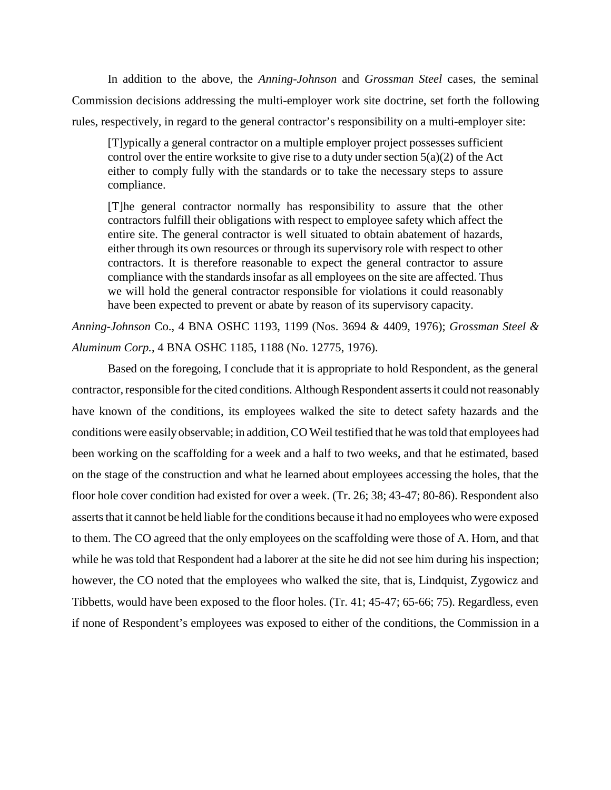In addition to the above, the *Anning-Johnson* and *Grossman Steel* cases, the seminal Commission decisions addressing the multi-employer work site doctrine, set forth the following rules, respectively, in regard to the general contractor's responsibility on a multi-employer site:

[T]ypically a general contractor on a multiple employer project possesses sufficient control over the entire worksite to give rise to a duty under section  $5(a)(2)$  of the Act either to comply fully with the standards or to take the necessary steps to assure compliance.

[T]he general contractor normally has responsibility to assure that the other contractors fulfill their obligations with respect to employee safety which affect the entire site. The general contractor is well situated to obtain abatement of hazards, either through its own resources or through its supervisory role with respect to other contractors. It is therefore reasonable to expect the general contractor to assure compliance with the standards insofar as all employees on the site are affected. Thus we will hold the general contractor responsible for violations it could reasonably have been expected to prevent or abate by reason of its supervisory capacity.

*Anning-Johnson* Co., 4 BNA OSHC 1193, 1199 (Nos. 3694 & 4409, 1976); *Grossman Steel & Aluminum Corp.*, 4 BNA OSHC 1185, 1188 (No. 12775, 1976).

Based on the foregoing, I conclude that it is appropriate to hold Respondent, as the general contractor, responsible for the cited conditions. Although Respondent asserts it could not reasonably have known of the conditions, its employees walked the site to detect safety hazards and the conditions were easily observable; in addition, CO Weil testified that he was told that employees had been working on the scaffolding for a week and a half to two weeks, and that he estimated, based on the stage of the construction and what he learned about employees accessing the holes, that the floor hole cover condition had existed for over a week. (Tr. 26; 38; 43-47; 80-86). Respondent also asserts that it cannot be held liable for the conditions because it had no employees who were exposed to them. The CO agreed that the only employees on the scaffolding were those of A. Horn, and that while he was told that Respondent had a laborer at the site he did not see him during his inspection; however, the CO noted that the employees who walked the site, that is, Lindquist, Zygowicz and Tibbetts, would have been exposed to the floor holes. (Tr. 41; 45-47; 65-66; 75). Regardless, even if none of Respondent's employees was exposed to either of the conditions, the Commission in a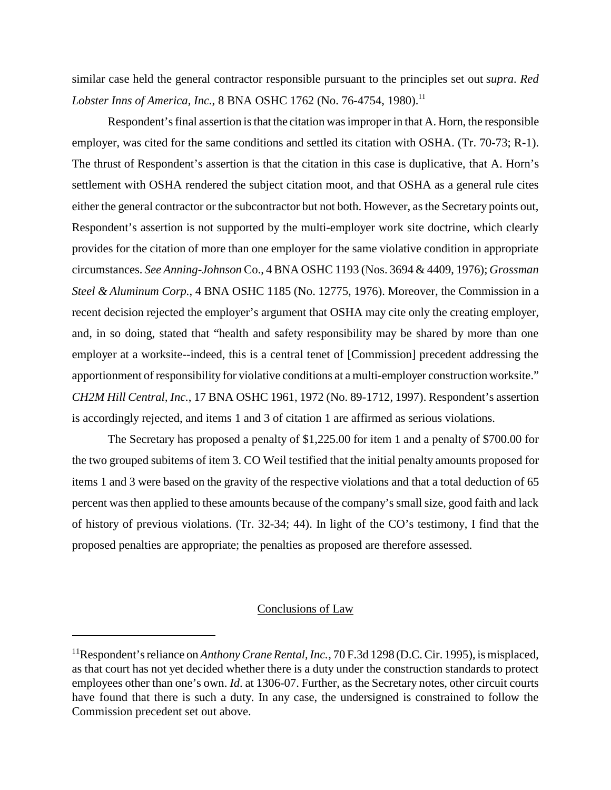similar case held the general contractor responsible pursuant to the principles set out *supra*. *Red Lobster Inns of America, Inc., 8 BNA OSHC 1762 (No. 76-4754, 1980).*<sup>11</sup>

Respondent's final assertion is that the citation was improper in that A. Horn, the responsible employer, was cited for the same conditions and settled its citation with OSHA. (Tr. 70-73; R-1). The thrust of Respondent's assertion is that the citation in this case is duplicative, that A. Horn's settlement with OSHA rendered the subject citation moot, and that OSHA as a general rule cites either the general contractor or the subcontractor but not both. However, as the Secretary points out, Respondent's assertion is not supported by the multi-employer work site doctrine, which clearly provides for the citation of more than one employer for the same violative condition in appropriate circumstances. *See Anning-Johnson* Co., 4 BNA OSHC 1193 (Nos. 3694 & 4409, 1976); *Grossman Steel & Aluminum Corp.*, 4 BNA OSHC 1185 (No. 12775, 1976). Moreover, the Commission in a recent decision rejected the employer's argument that OSHA may cite only the creating employer, and, in so doing, stated that "health and safety responsibility may be shared by more than one employer at a worksite--indeed, this is a central tenet of [Commission] precedent addressing the apportionment of responsibility for violative conditions at a multi-employer construction worksite." *CH2M Hill Central, Inc.*, 17 BNA OSHC 1961, 1972 (No. 89-1712, 1997). Respondent's assertion is accordingly rejected, and items 1 and 3 of citation 1 are affirmed as serious violations.

The Secretary has proposed a penalty of \$1,225.00 for item 1 and a penalty of \$700.00 for the two grouped subitems of item 3. CO Weil testified that the initial penalty amounts proposed for items 1 and 3 were based on the gravity of the respective violations and that a total deduction of 65 percent was then applied to these amounts because of the company's small size, good faith and lack of history of previous violations. (Tr. 32-34; 44). In light of the CO's testimony, I find that the proposed penalties are appropriate; the penalties as proposed are therefore assessed.

## Conclusions of Law

<sup>&</sup>lt;sup>11</sup>Respondent's reliance on *Anthony Crane Rental, Inc.*, 70 F.3d 1298 (D.C. Cir. 1995), is misplaced, as that court has not yet decided whether there is a duty under the construction standards to protect employees other than one's own. *Id*. at 1306-07. Further, as the Secretary notes, other circuit courts have found that there is such a duty. In any case, the undersigned is constrained to follow the Commission precedent set out above.